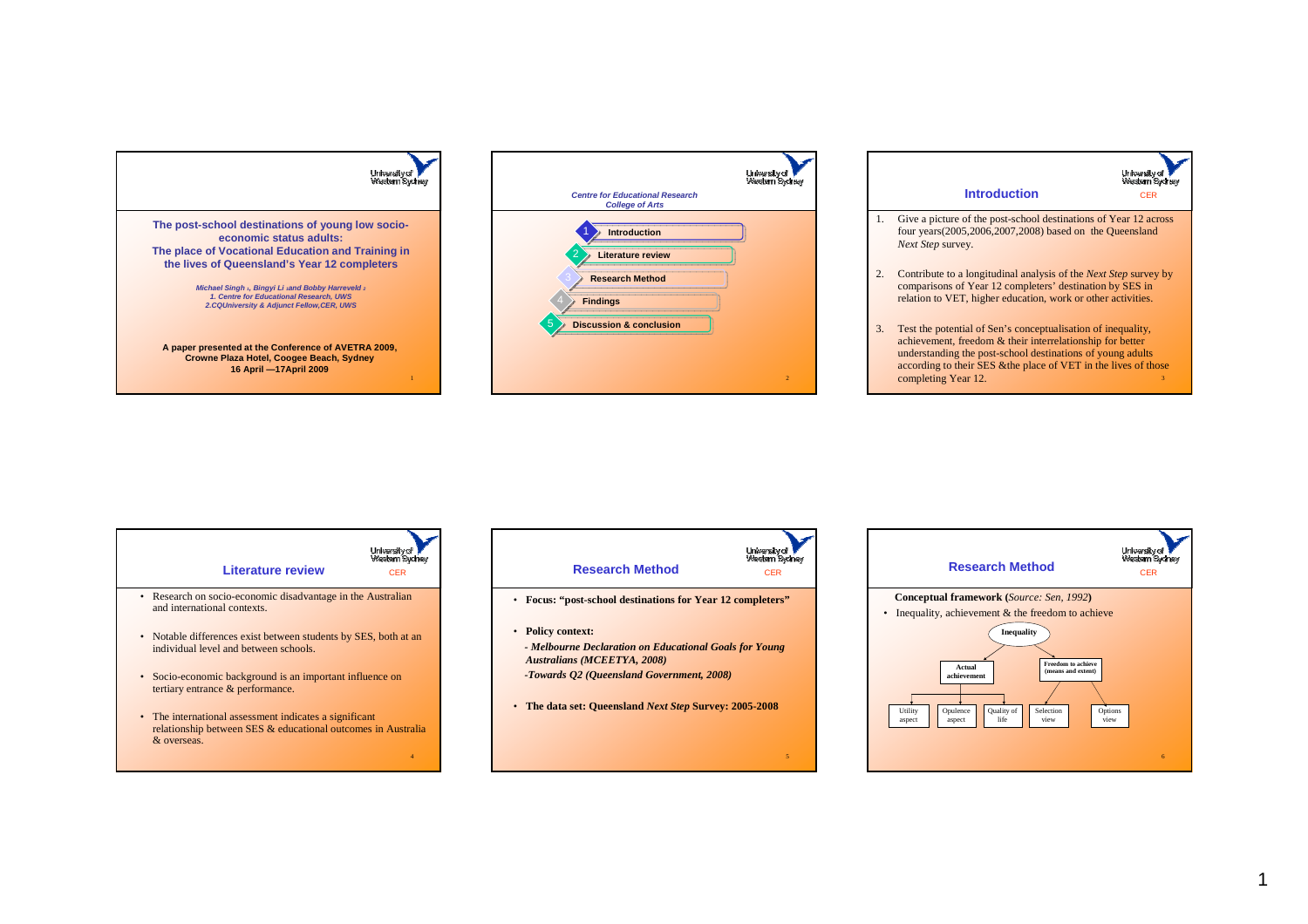



|    | University of<br>Western Sydney<br><b>Introduction</b><br>CER                                                                                                                                                                                                                          |
|----|----------------------------------------------------------------------------------------------------------------------------------------------------------------------------------------------------------------------------------------------------------------------------------------|
| 1. | Give a picture of the post-school destinations of Year 12 across<br>four years(2005,2006,2007,2008) based on the Queensland<br>Next Step survey.                                                                                                                                       |
| 2. | Contribute to a longitudinal analysis of the <i>Next Step</i> survey by<br>comparisons of Year 12 completers' destination by SES in<br>relation to VET, higher education, work or other activities.                                                                                    |
| 3. | Test the potential of Sen's conceptualisation of inequality,<br>achievement, freedom & their interrelationship for better<br>understanding the post-school destinations of young adults<br>according to their SES & the place of VET in the lives of those<br>completing Year 12.<br>3 |





- **Focus: "post-school destinations for Year 12 completers"**
- **Policy context:**
- *- Melbourne Declaration on Educational Goals for Young Australians (MCEETYA, 2008)*
- *-Towards Q2 (Queensland Government, 2008)*
- **The data set: Queensland** *Next Step* **Survey: 2005-2008**

5

CER

University of **V**<br>Wastern Sydney